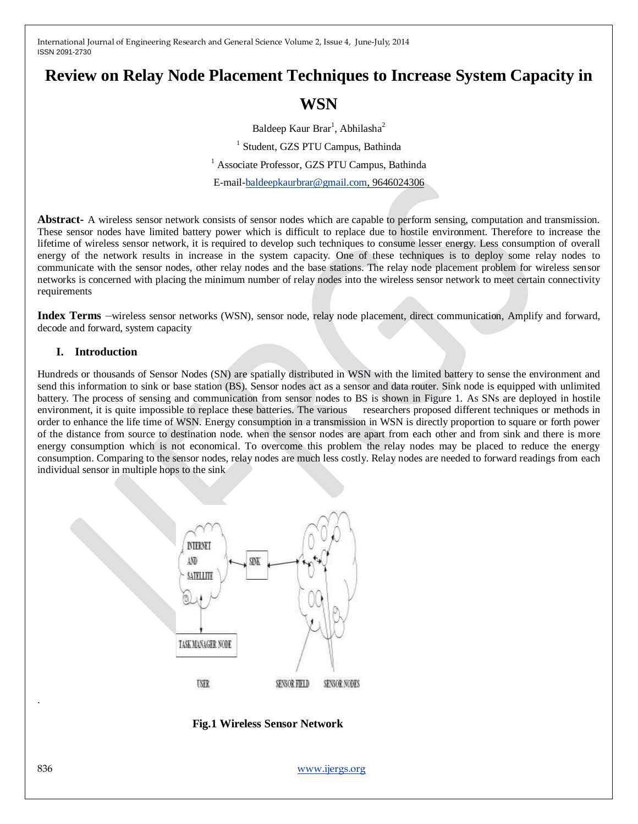# **Review on Relay Node Placement Techniques to Increase System Capacity in**

## **WSN**

Baldeep Kaur Brar<sup>1</sup>, Abhilasha<sup>2</sup> 1 Student, GZS PTU Campus, Bathinda <sup>1</sup> Associate Professor, GZS PTU Campus, Bathinda E-mail[-baldeepkaurbrar@gmail.com,](mailto:baldeepkaurbrar@gmail.com) 9646024306

**Abstract-** A wireless sensor network consists of sensor nodes which are capable to perform sensing, computation and transmission. These sensor nodes have limited battery power which is difficult to replace due to hostile environment. Therefore to increase the lifetime of wireless sensor network, it is required to develop such techniques to consume lesser energy. Less consumption of overall energy of the network results in increase in the system capacity. One of these techniques is to deploy some relay nodes to communicate with the sensor nodes, other relay nodes and the base stations. The relay node placement problem for wireless sensor networks is concerned with placing the minimum number of relay nodes into the wireless sensor network to meet certain connectivity requirements

**Index Terms** –wireless sensor networks (WSN), sensor node, relay node placement, direct communication, Amplify and forward, decode and forward, system capacity

## **I. Introduction**

Hundreds or thousands of Sensor Nodes (SN) are spatially distributed in WSN with the limited battery to sense the environment and send this information to sink or base station (BS). Sensor nodes act as a sensor and data router. Sink node is equipped with unlimited battery. The process of sensing and communication from sensor nodes to BS is shown in Figure 1. As SNs are deployed in hostile environment, it is quite impossible to replace these batteries. The various researchers proposed different techniques or methods in order to enhance the life time of WSN. Energy consumption in a transmission in WSN is directly proportion to square or forth power of the distance from source to destination node. when the sensor nodes are apart from each other and from sink and there is more energy consumption which is not economical. To overcome this problem the relay nodes may be placed to reduce the energy consumption. Comparing to the sensor nodes, relay nodes are much less costly. Relay nodes are needed to forward readings from each individual sensor in multiple hops to the sink



 **Fig.1 Wireless Sensor Network**

836 [www.ijergs.org](http://www.ijergs.org/)

.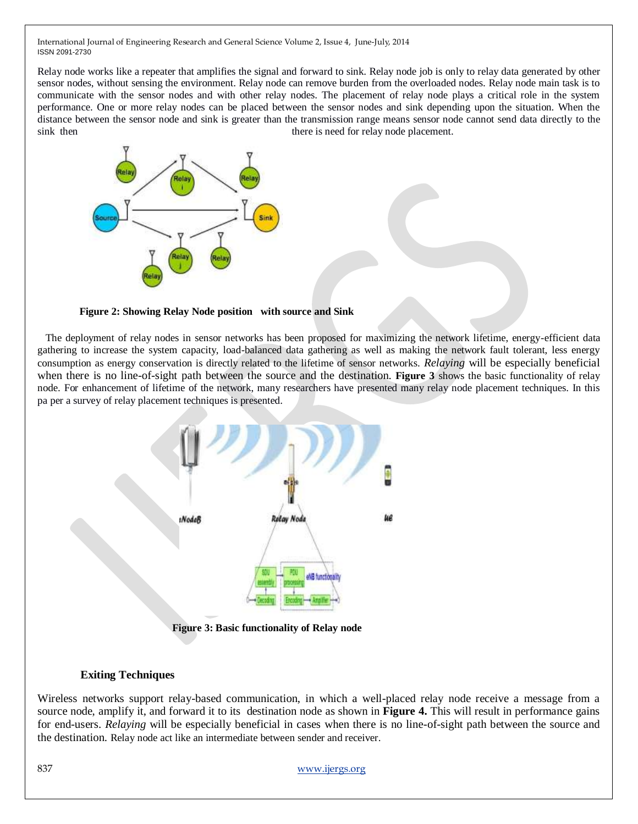Relay node works like a repeater that amplifies the signal and forward to sink. Relay node job is only to relay data generated by other sensor nodes, without sensing the environment. Relay node can remove burden from the overloaded nodes. Relay node main task is to communicate with the sensor nodes and with other relay nodes. The placement of relay node plays a critical role in the system performance. One or more relay nodes can be placed between the sensor nodes and sink depending upon the situation. When the distance between the sensor node and sink is greater than the transmission range means sensor node cannot send data directly to the sink then there is need for relay node placement.



## **Figure 2: Showing Relay Node position with source and Sink**

 The deployment of relay nodes in sensor networks has been proposed for maximizing the network lifetime, energy-efficient data gathering to increase the system capacity, load-balanced data gathering as well as making the network fault tolerant, less energy consumption as energy conservation is directly related to the lifetime of sensor networks. *Relaying* will be especially beneficial when there is no line-of-sight path between the source and the destination. **Figure 3** shows the basic functionality of relay node. For enhancement of lifetime of the network, many researchers have presented many relay node placement techniques. In this pa per a survey of relay placement techniques is presented.



## **Exiting Techniques**

Wireless networks support relay-based communication, in which a well-placed relay node receive a message from a source node, amplify it, and forward it to its destination node as shown in **Figure 4.** This will result in performance gains for end-users. *Relaying* will be especially beneficial in cases when there is no line-of-sight path between the source and the destination. Relay node act like an intermediate between sender and receiver.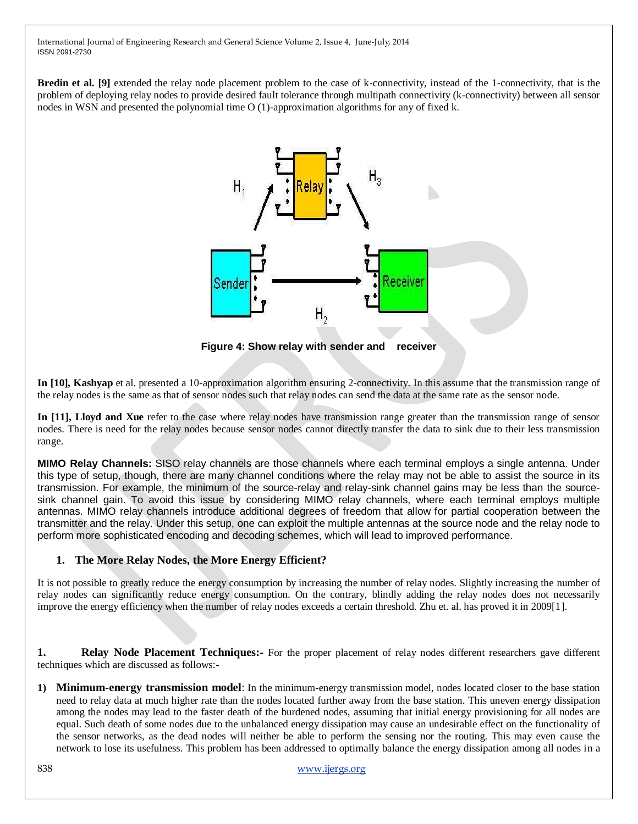**Bredin et al.** [9] extended the relay node placement problem to the case of k-connectivity, instead of the 1-connectivity, that is the problem of deploying relay nodes to provide desired fault tolerance through multipath connectivity (k-connectivity) between all sensor nodes in WSN and presented the polynomial time O (1)-approximation algorithms for any of fixed k.



**Figure 4: Show relay with sender and receiver**

**In [10], Kashyap** et al. presented a 10-approximation algorithm ensuring 2-connectivity. In this assume that the transmission range of the relay nodes is the same as that of sensor nodes such that relay nodes can send the data at the same rate as the sensor node.

In [11], Lloyd and Xue refer to the case where relay nodes have transmission range greater than the transmission range of sensor nodes. There is need for the relay nodes because sensor nodes cannot directly transfer the data to sink due to their less transmission range.

**MIMO Relay Channels:** SISO relay channels are those channels where each terminal employs a single antenna. Under this type of setup, though, there are many channel conditions where the relay may not be able to assist the source in its transmission. For example, the minimum of the source-relay and relay-sink channel gains may be less than the sourcesink channel gain. To avoid this issue by considering MIMO relay channels, where each terminal employs multiple antennas. MIMO relay channels introduce additional degrees of freedom that allow for partial cooperation between the transmitter and the relay. Under this setup, one can exploit the multiple antennas at the source node and the relay node to perform more sophisticated encoding and decoding schemes, which will lead to improved performance.

## **1. The More Relay Nodes, the More Energy Efficient?**

It is not possible to greatly reduce the energy consumption by increasing the number of relay nodes. Slightly increasing the number of relay nodes can significantly reduce energy consumption. On the contrary, blindly adding the relay nodes does not necessarily improve the energy efficiency when the number of relay nodes exceeds a certain threshold. Zhu et. al. has proved it in 2009[1].

**1. Relay Node Placement Techniques:-** For the proper placement of relay nodes different researchers gave different techniques which are discussed as follows:-

**1) Minimum-energy transmission model**: In the minimum-energy transmission model, nodes located closer to the base station need to relay data at much higher rate than the nodes located further away from the base station. This uneven energy dissipation among the nodes may lead to the faster death of the burdened nodes, assuming that initial energy provisioning for all nodes are equal. Such death of some nodes due to the unbalanced energy dissipation may cause an undesirable effect on the functionality of the sensor networks, as the dead nodes will neither be able to perform the sensing nor the routing. This may even cause the network to lose its usefulness. This problem has been addressed to optimally balance the energy dissipation among all nodes in a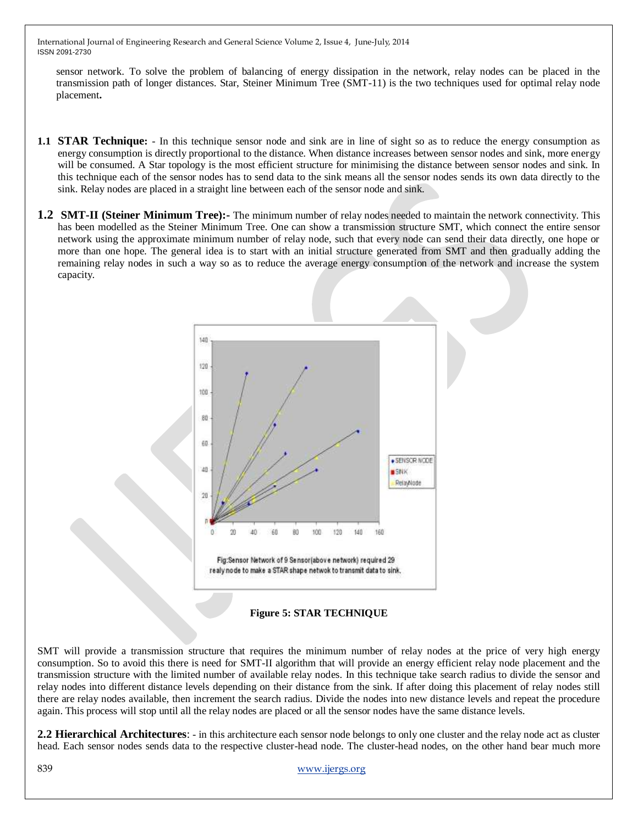sensor network. To solve the problem of balancing of energy dissipation in the network, relay nodes can be placed in the transmission path of longer distances. Star, Steiner Minimum Tree (SMT-11) is the two techniques used for optimal relay node placement**.**

- **1.1 STAR Technique:**  In this technique sensor node and sink are in line of sight so as to reduce the energy consumption as energy consumption is directly proportional to the distance. When distance increases between sensor nodes and sink, more energy will be consumed. A Star topology is the most efficient structure for minimising the distance between sensor nodes and sink. In this technique each of the sensor nodes has to send data to the sink means all the sensor nodes sends its own data directly to the sink. Relay nodes are placed in a straight line between each of the sensor node and sink.
- **1.2 SMT-II (Steiner Minimum Tree):-** The minimum number of relay nodes needed to maintain the network connectivity. This has been modelled as the Steiner Minimum Tree. One can show a transmission structure SMT, which connect the entire sensor network using the approximate minimum number of relay node, such that every node can send their data directly, one hope or more than one hope. The general idea is to start with an initial structure generated from SMT and then gradually adding the remaining relay nodes in such a way so as to reduce the average energy consumption of the network and increase the system capacity.





SMT will provide a transmission structure that requires the minimum number of relay nodes at the price of very high energy consumption. So to avoid this there is need for SMT-II algorithm that will provide an energy efficient relay node placement and the transmission structure with the limited number of available relay nodes. In this technique take search radius to divide the sensor and relay nodes into different distance levels depending on their distance from the sink. If after doing this placement of relay nodes still there are relay nodes available, then increment the search radius. Divide the nodes into new distance levels and repeat the procedure again. This process will stop until all the relay nodes are placed or all the sensor nodes have the same distance levels.

**2.2 Hierarchical Architectures**: - in this architecture each sensor node belongs to only one cluster and the relay node act as cluster head. Each sensor nodes sends data to the respective cluster-head node. The cluster-head nodes, on the other hand bear much more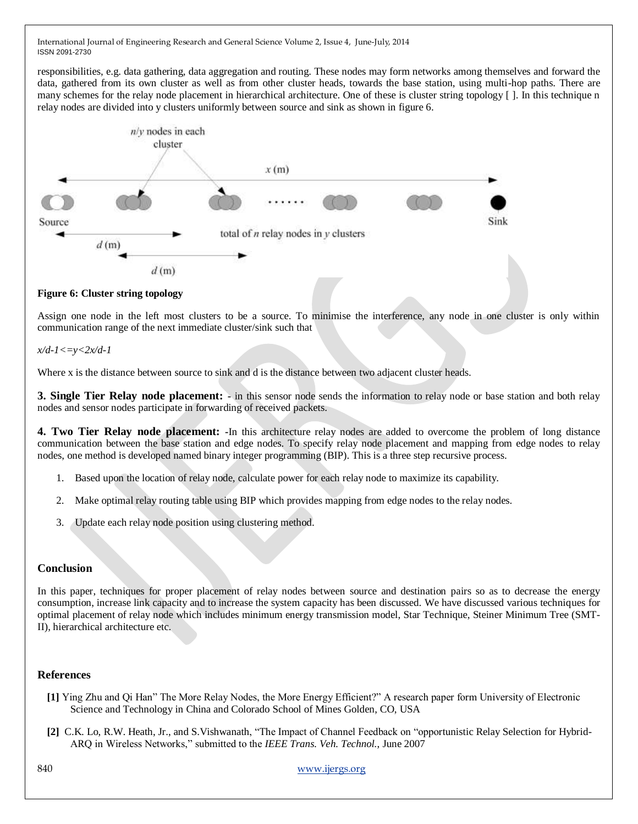responsibilities, e.g. data gathering, data aggregation and routing. These nodes may form networks among themselves and forward the data, gathered from its own cluster as well as from other cluster heads, towards the base station, using multi-hop paths. There are many schemes for the relay node placement in hierarchical architecture. One of these is cluster string topology  $\lceil \cdot \rceil$ . In this technique n relay nodes are divided into y clusters uniformly between source and sink as shown in figure 6.



## **Figure 6: Cluster string topology**

Assign one node in the left most clusters to be a source. To minimise the interference, any node in one cluster is only within communication range of the next immediate cluster/sink such that

## *x/d-1<=y<2x/d-1*

Where x is the distance between source to sink and d is the distance between two adjacent cluster heads.

**3. Single Tier Relay node placement: -** in this sensor node sends the information to relay node or base station and both relay nodes and sensor nodes participate in forwarding of received packets.

**4. Two Tier Relay node placement: -**In this architecture relay nodes are added to overcome the problem of long distance communication between the base station and edge nodes. To specify relay node placement and mapping from edge nodes to relay nodes, one method is developed named binary integer programming (BIP). This is a three step recursive process.

- 1. Based upon the location of relay node, calculate power for each relay node to maximize its capability.
- 2. Make optimal relay routing table using BIP which provides mapping from edge nodes to the relay nodes.
- 3. Update each relay node position using clustering method.

## **Conclusion**

In this paper, techniques for proper placement of relay nodes between source and destination pairs so as to decrease the energy consumption, increase link capacity and to increase the system capacity has been discussed. We have discussed various techniques for optimal placement of relay node which includes minimum energy transmission model, Star Technique, Steiner Minimum Tree (SMT-II), hierarchical architecture etc.

#### **References**

- **[1]** Ying Zhu and Qi Han" The More Relay Nodes, the More Energy Efficient?" A research paper form University of Electronic Science and Technology in China and Colorado School of Mines Golden, CO, USA
- **[2]** [C.K. Lo,](http://www.ece.utexas.edu/~clo) [R.W. Heath, Jr.,](http://www.profheath.org/) and [S.Vishwanath,](http://www.ece.utexas.edu/~sriram) "The Impact of Channel Feedback on "opportunistic Relay Selection for Hybrid-ARQ in Wireless Networks," submitted to the *IEEE Trans. Veh. Technol.*, June 2007